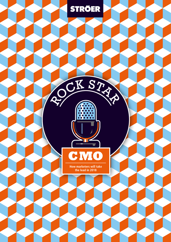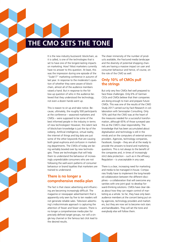# **THE CMO SETS THE TONE**

It is the new industry buzzword: blockchain, as it is called, is one of the technologies that is set to have one of the longest-lasting impacts on marketing. How? Most marketers currently have no answer to this question. At least, this was the impression during one episode of the "Scale17" marketing conference in autumn of last year. In response to the moderator's question of whether they were aware of blockchain, almost all of the audience members raised a hand. But in response to the follow-up question of who in the audience believed that they understood the technology, not even a dozen hands went up.

This is reason to sit up and take notice. Because, ultimately, the roughly 500 participants at the conference – seasoned marketers and CMOs – were supposed to be some of the best informed people in the industry in terms of new technologies! However, this latent lack of blockchain knowledge is just the tip of the iceberg. Artificial intelligence, virtual reality, the internet of things and big data are just some of the other keywords that are causing both great euphoria and confusion in marketing departments. The CMOs of today are being veritably bowled over by new technologies. These are technologies that will help them to understand the behaviour of increasingly unpredictable consumers who are not following the well-worn patterns of consumer behaviour or brand loyalties that marketers are trained to understand.

#### **There is no longer a comprehensive media plan**

The fact is that classic advertising and influencing are becoming increasingly difficult. The magazine or newspaper advertisement that is apparently only seen by five to ten readers will not generate reliable sales. Television advertising's indiscriminate approach is capturing the attention of fewer and fewer viewers. There is no longer a comprehensive media plan for precisely defined target groups, nor will a single key channel or the famous last click lead to the desired results.

The sheer immensity of the number of products available, the fractured media landscape and the diversity of potential shopping channels are having a massive impact on user and consumer behaviour and hence, of course, on the role of the CMO as well.

#### **Only 10% of CMOs pull the strings**

But only very few CMOs feel well prepared to face these challenges. Only 6% of German CEOs and CMOs believe that their companies are doing enough to train and prepare future CMOs. This was one of the results of the CMO Study 2017 carried out by Facit Research in collaboration with Serviceplan Consulting. Only 10% said that the CMO was at the heart of the measures needed for a successful transformation, although 65% of those surveyed saw this as the CMO's clear responsibility. The knowledge that has been accumulated about digitalisation and technology is still in the minds and on the computers of external service providers. Agencies, technology companies, Facebook, Google – they are all at the ready to provide the answers to brand and marketing questions. This is not always to the benefit of the companies and, in times of increasingly strict data protection – such as in the ePrivacy Regulation – is unacceptable in any case.

There is a clear, increasing need for marketing and media to be managed in-house. Companies finally have to implement the long-heralded collaboration between the different disciplines – a collaboration that will overcome any vanities with one joint goal: to develop forward-thinking solutions. CMOs have clear ideas about how they can regain control of marketing as a whole. So far, they have only been audience members at the concert being put on by agencies, technology providers and marketers, but they are now set to become rock stars and bandleaders. They will set the tone and everybody else will follow them.

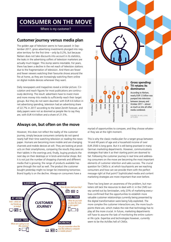# **CONSUMER ON THE MOVE**

Where is my customer?

### **Customer journey versus media plan**

The golden age of television seems to have passed: in September 2017, gross advertising investments plunged into negative territory for the first time – only by 0.2%, but because Nielsen does not take discounts into account in its statistics, the leaks in the advertising coffers of television marketers are actually much bigger. This slump seems inevitable. For years, there has been a decline in the net reach of television stations due to the fragmentation of television. And there are fewer and fewer viewers watching their favourite shows around the fire at home, as they are increasingly watching them online on digital mobile devices whenever they want.

Daily newspapers and magazines reveal a similar picture. Circulation and reach figures for most publications are continuously declining. The result: advertisers have to invest more and more money into media to sufficiently reach their target groups. But they do not seem daunted: with EUR 4.6 billion in net advertising spending, television had an advertising share of 22.7% in 2017 according to the latest Zenith forecast, and daily papers were not as doomed as people like to say they are, with EUR 4.4 billion and a share of 21.5%.

## **Always on, but often on the move**

However, this does not reflect the reality of the customer journey, simply because consumers certainly do not spend nearly half their time watching television or reading the newspaper. Humans are becoming more mobile and are changing channels and mobile devices at will. They are looking at products on their smartphones, comparing the results they save on their tablets in the evenings and, finally, buying products the next day on their desktops or in brick-and-mortar shops. But it is not just the number of shopping channels and different media that is growing; the range of products available has gone through the roof as well. The product the customer bought yesterday might no longer be interesting tomorrow. Brand loyalty is on the decline. Always-on consumers have a





myriad of opportunities to compare, and they choose whatever they see at the right moment.

This is why the classic media plan for a target group between 14 and 49 years of age and a household income of over EUR 2500 is long gone. But it is still being practised in many German marketing departments. However, communications strategies that take it as their starting point are doomed to fail. Following the customer journey in real time and addressing consumers on the move are becoming the most important elements of customer retention and sales success. The crucial question for CMOs is: at which touchpoints are we reaching consumers and how can we provide them with the perfect message right at that point? Sophisticated media and content marketing strategies are more important than ever before.

There has long been an awareness of the problem, but marketers still lack the resources to deal with it: in the CMO survey carried out by Serviceplan, only 23% of marketing executives confirmed that the opportunities to establish more valuable customer relationships currently being presented by the digital transformation were being fully exploited. The more complex the customer interactions are, the more touchpoints there are, which makes the role that technology has to play all the more crucial. In future, marketing departments will have to assume the task of monitoring the entire customer life cycle. Expertise and technologies however, currently seem to be the Achilles hell of CMOs.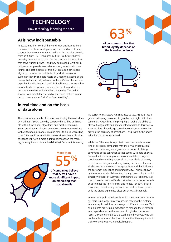

## **AI is now indispensable**

In 2029, machines control the world. Humans have to bend the knee to artificial intelligence (AI) that is millions of times smarter than they are. We are familiar with scenarios like this from sci-fi films like Terminator, but this is a future that will probably never come to pass. On the contrary, it is machines that serve human beings – and they do us good. Artificial intelligence can provide invaluable support, especially in marketing. The best example of this is OTTO: a self-developed algorithm reduces the multitude of product reviews to customer-friendly snippets. Users only read the aspects of the review that are actually relevant to them. One of the technologies behind this feature is artificial intelligence. An algorithm automatically recognises which are the most important aspects of the review and identifies the tonality. The online shopper can then filter reviews by key topics that are important to them such as "price" or "sustainability".

## **In real time and on the basis of data alone**

This is just one example of how AI can simplify the work done by marketers. Soon, everyday company life will be unthinkable without intelligent algorithms and machine learning. Seven out of ten marketing executives are currently working with AI technologies or are making plans to do so. According to KRC Research, around 55% are convinced that artificial intelligence will have a more significant impact on the marketing industry than social media did. Why? Because it is making



63%

**of consumers think that brand loyalty depends on the brand experience**



life easier for marketers, which is easy to see. Artificial intelligence is allowing marketers to gain better insights into their customers. Algorithms are giving digital brains the ability to filter out, aggregate and analyse relevant data. In this way, AI is generating a knowledge base that continues to grow, improving the accuracy of predictions – and, with it, the added value for the customer as well.

While the EU attempts to protect consumer data from any kind of access by companies with the ePrivacy Regulation, consumers have long since grown accustomed to taking advantage of the convenience that comes with data analysis. Personalised websites, product recommendations, logical, coordinated storytelling across all of the available channels, cross-channel integration during buying decisions – these are all elements that the customer appreciates and that influence the customer experience and brand loyalty. This was shown by the Adobe study "Reinventing Loyalty", according to which almost two thirds of German consumers (65%) primarily stay true to brands that specifically customise the customer experience to meet their preferences and needs. For 63% of local consumers, brand loyalty depends not least on how consistently the brand experience plays out across all channels.

In terms of sophisticated media and content marketing strategy, there is no longer any way around meeting the customer interactively in real time on a range of different channels. Tech and big data are helping marketers to manage these complex interdependencies. In the new era of digitalised customer focus, they are essential to the work done by CMOs, who will not be able to master the flood of data that they require to do their work without technological support.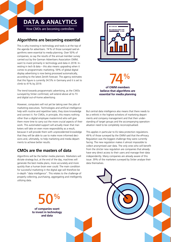# **DATA & ANALYTICS**

How CMOs are becoming controllers

## **Algorithms are becoming essential**

This is why investing in technology and tools is at the top of the agenda for advertisers. 74 % of those surveyed said algorithms were essential to media planning. Over 50% of companies, so say the results of the annual member survey carried out by the German Advertisers Association OWM, want to invest primarily in technology and data in 2018. Investing in tech & data – this also means upgrading when it comes to programmatic marketing. 59% of global digital display advertising is now being processed automatically, according to the latest Zenith forecast. The agency estimates that this figure is currently 34.5% in Germany and it is set to climb to 41% by 2019.

The trend towards programmatic advertising, as the CMOs surveyed by Ströer confirmed, will extend above all to TV and digital out-of-home advertising.

However, computers will not yet be taking over the jobs of marketing executives. Technologies and artificial intelligence help with routine and repetitive tasks; they store knowledge and connect it. For CMOs, in principle, this means nothing other than a digital employee mastermind who will give them more time to carry out the more crucial aspects of their work. This automated support will actually mean that marketers will take on even more responsibility as a result, because it will provide them with unprecedented knowledge that they will be able to use to make more informed decisions and, ultimately, to help marketing and media departments to achieve better results.

# **CMOs are the masters of data**

Algorithms will be the better media planners. Marketers will dictate strategy but, at the end of the day, machines will generate the best media plans, more accurately and more quickly than a human brain ever could. The main condition for successful marketing in the digital age will therefore be in-depth "data intelligence". This relates to the challenge of properly collecting, purchasing, aggregating and intelligently utilizing data.

> 50% **of companies want to invest in technology and data**



74%

**of OWM members believe that algorithms are essential for media planning**

But central data intelligence also means that there needs to be a rethink in the highest echelons of marketing departments and company management and that their understanding of target groups and the accompanying operationalisation need to be completely reconceptualised.

This applies in particular to EU data protection regulations. 49% of those surveyed by the OWM said that the ePrivacy Regulation was the biggest challenge they were currently facing. The new regulation makes it almost impossible to collect anonymised user data. The only ones who will benefit from the stricter new regulation are companies that already have very direct access to their users and manage their data independently. Many companies are already aware of this issue: 39% of the marketers surveyed by Ströer analyse their data themselves.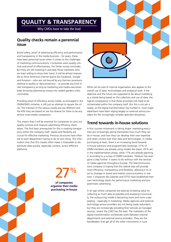# **QUALITY & TRANSPARENCY**

Why CMOs have to take the lead

#### **Quality checks remain a perennial issue**

Brand safety, proof of advertising efficiency and performance, and transparency in the media business – for years, these have been perennial issues when it comes to the challenges of marketing communications. Companies want quality controls and proof of effectiveness, the Ströer survey concludes. But they are still investing in precisely those marketers who are least willing to show their hand. It will be almost impossible to force American internet giants like Facebook, Google and Amazon – who are not bound by any German provisions relating to quality or data protection – to provide any kind of real transparency as long as marketing and media executives keep throwing advertising money into walled gardens indiscriminately.

Providing proof of efficiency across media, as envisaged in the OWM/OMG initiative, is still just an attempt to square the circle. The interests of the various media are too different and the KPIs they are based on are too diverse for there to be any serious cross-media comparison.

This means that it will be essential for companies to carry out quality controls and measure advertising efficiency themselves. The first basic prerequisite for this is creating transparency within the company itself. Speed and flexibility are crucial for effective marketing. Previous structures have often led to each department having to do its own thing. The information silos that this creates often make it impossible to disseminate data quickly, especially content, across different platforms.





What can be said of internal organisation also applies to the overall use of data, technologies and analytical tools. If the objective and the future are supposed to be about marketing as a whole being based on the collection and use of data, the logical consequence is that these processes will need to be orchestrated within the company itself. But this is not yet a reality: as the digital transformation has hurtled in, most major advertisers have been relying largely on external service providers for the increasingly complex specialist disciplines.

# **Trend towards in-house solutions**

A first counter-movement is taking shape: marketing executives are increasingly asking themselves how much they can do in-house, and how they can develop their own expertise and retain control over their data and technologies. In media purchasing at least, there is an increasing trend towards in-house solutions and programmatic bookings. 27% of OWM members are already using models like these. 20 % are in the implementation phase, while 17% are already planning it, according to a survey of OWM members. Telekom has even gone a step further: it wants to do without with the services of media agencies throughout Europe. The telecommunications company is hoping that this radical step will provide more efficiency, transparency and flexibility, allowing it to react to changes in brand and market communications in real time. Companies like Zalando and OTTO have established their own technology stacks for performance marketing and programmatic advertising.

In an age where companies are placing increasing value on collecting as much data as possible and analysing it exclusively, the outsourcing model is becoming more and more unappealing – especially in marketing. Media agencies and external technology service providers are not being made redundant, but they are increasingly providing their services as managed services, where the CMO has the lead. The marketers of the digital transformation orchestrate work between internal departments and external service providers. They are the bandleaders that get all of the other instruments in tune.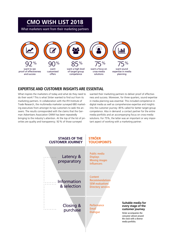# **CMO WISH LIST 2018**

What marketers want from their marketing partners



## **EXPERTISE AND CUSTOMER INSIGHTS ARE ESSENTIAL**

What inspires the marketers of today and what do they need to do their work? This is what Ströer wanted to find out from its marketing partners. In collaboration with the IFH Institute of Trade Research, the multimedia marketer surveyed 680 marketing executives from amongst its top customers to seek the answers. The results corresponded with the claims that the German Advertisers Association OWM has been repeatedly bringing to the industry's attention. At the top of the list of priorities are quality and transparency. 92% of those surveyed

wanted their marketing partners to deliver proof of effectiveness and success. Moreover, for three quarters, sound expertise in media planning was essential. This included competence in digital media as well as comprehensive expertise and insights into the customer journey: 85% called for better target-group competence. Also in demand: a contact partner for the entire media portfolio and an accompanying focus on cross-media solutions. For 75%, the latter was an important or very important aspect of working with a marketing partner.